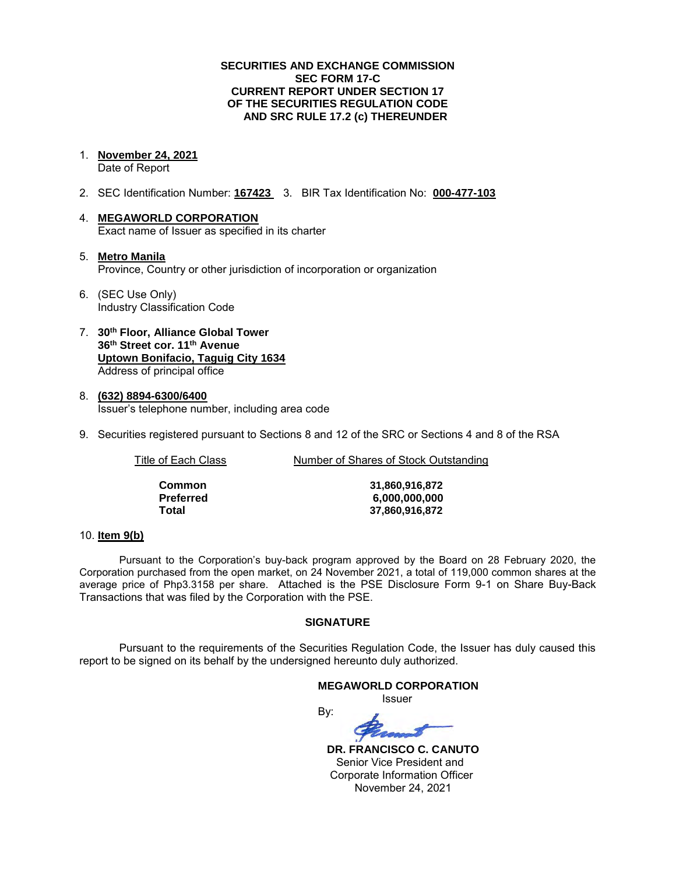### **SECURITIES AND EXCHANGE COMMISSION SEC FORM 17-C CURRENT REPORT UNDER SECTION 17 OF THE SECURITIES REGULATION CODE AND SRC RULE 17.2 (c) THEREUNDER**

1. **November 24, 2021** 

Date of Report

- 2. SEC Identification Number: **167423** 3. BIR Tax Identification No: **000-477-103**
- 4. **MEGAWORLD CORPORATION**  Exact name of Issuer as specified in its charter
- 5. **Metro Manila** Province, Country or other jurisdiction of incorporation or organization
- 6. (SEC Use Only) Industry Classification Code
- 7. **30th Floor, Alliance Global Tower 36th Street cor. 11th Avenue Uptown Bonifacio, Taguig City 1634** Address of principal office
- 8. **(632) 8894-6300/6400**  Issuer's telephone number, including area code
- 9. Securities registered pursuant to Sections 8 and 12 of the SRC or Sections 4 and 8 of the RSA

Title of Each Class **Number of Shares of Stock Outstanding** 

| Common    |
|-----------|
| Preferred |
| Total     |

**Common 31,860,916,872 Preferred 6,000,000,000 Total 37,860,916,872**

# 10. **Item 9(b)**

Pursuant to the Corporation's buy-back program approved by the Board on 28 February 2020, the Corporation purchased from the open market, on 24 November 2021, a total of 119,000 common shares at the average price of Php3.3158 per share. Attached is the PSE Disclosure Form 9-1 on Share Buy-Back Transactions that was filed by the Corporation with the PSE.

# **SIGNATURE**

Pursuant to the requirements of the Securities Regulation Code, the Issuer has duly caused this report to be signed on its behalf by the undersigned hereunto duly authorized.

#### **MEGAWORLD CORPORATION**

*<u>Issuer</u> Issuer Issuer* 

By:

 **DR. FRANCISCO C. CANUTO**  Senior Vice President and Corporate Information Officer November 24, 2021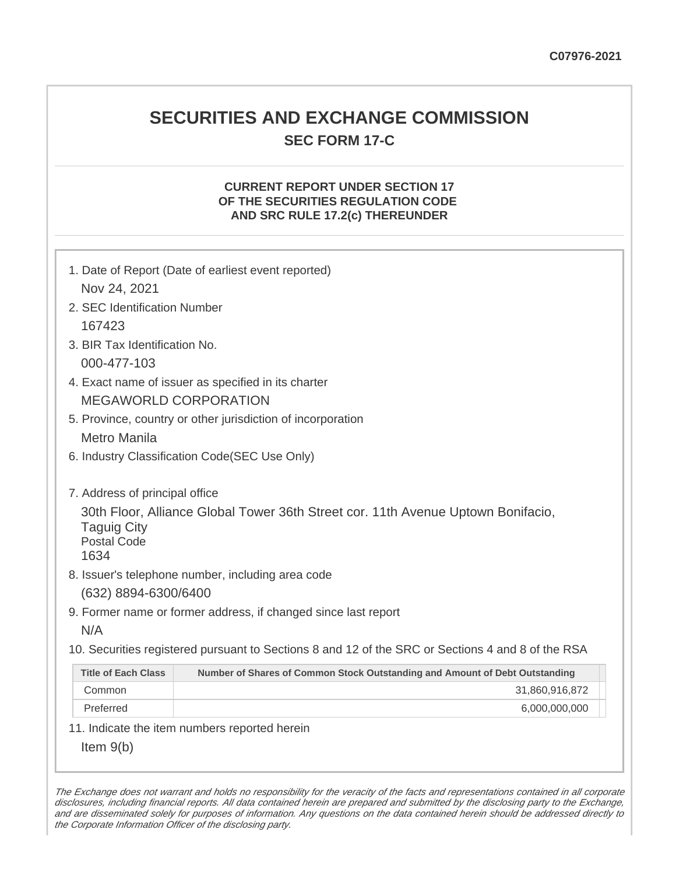# **SECURITIES AND EXCHANGE COMMISSION SEC FORM 17-C**

# **CURRENT REPORT UNDER SECTION 17 OF THE SECURITIES REGULATION CODE AND SRC RULE 17.2(c) THEREUNDER**

| Nov 24, 2021                                                                                                                         | 1. Date of Report (Date of earliest event reported)                                               |  |  |  |  |
|--------------------------------------------------------------------------------------------------------------------------------------|---------------------------------------------------------------------------------------------------|--|--|--|--|
| 2. SEC Identification Number                                                                                                         |                                                                                                   |  |  |  |  |
| 167423                                                                                                                               |                                                                                                   |  |  |  |  |
| 3. BIR Tax Identification No.                                                                                                        |                                                                                                   |  |  |  |  |
| 000-477-103                                                                                                                          |                                                                                                   |  |  |  |  |
|                                                                                                                                      | 4. Exact name of issuer as specified in its charter                                               |  |  |  |  |
|                                                                                                                                      | <b>MEGAWORLD CORPORATION</b>                                                                      |  |  |  |  |
|                                                                                                                                      | 5. Province, country or other jurisdiction of incorporation                                       |  |  |  |  |
| <b>Metro Manila</b>                                                                                                                  |                                                                                                   |  |  |  |  |
|                                                                                                                                      | 6. Industry Classification Code(SEC Use Only)                                                     |  |  |  |  |
| 7. Address of principal office                                                                                                       |                                                                                                   |  |  |  |  |
| 30th Floor, Alliance Global Tower 36th Street cor. 11th Avenue Uptown Bonifacio,<br><b>Taguig City</b><br><b>Postal Code</b><br>1634 |                                                                                                   |  |  |  |  |
|                                                                                                                                      | 8. Issuer's telephone number, including area code                                                 |  |  |  |  |
| (632) 8894-6300/6400                                                                                                                 |                                                                                                   |  |  |  |  |
|                                                                                                                                      | 9. Former name or former address, if changed since last report                                    |  |  |  |  |
| N/A                                                                                                                                  |                                                                                                   |  |  |  |  |
|                                                                                                                                      | 10. Securities registered pursuant to Sections 8 and 12 of the SRC or Sections 4 and 8 of the RSA |  |  |  |  |
| <b>Title of Each Class</b>                                                                                                           | Number of Shares of Common Stock Outstanding and Amount of Debt Outstanding                       |  |  |  |  |
| Common                                                                                                                               | 31,860,916,872                                                                                    |  |  |  |  |
| Preferred                                                                                                                            | 6,000,000,000                                                                                     |  |  |  |  |
|                                                                                                                                      | 11. Indicate the item numbers reported herein                                                     |  |  |  |  |
| Item $9(b)$                                                                                                                          |                                                                                                   |  |  |  |  |

The Exchange does not warrant and holds no responsibility for the veracity of the facts and representations contained in all corporate disclosures, including financial reports. All data contained herein are prepared and submitted by the disclosing party to the Exchange, and are disseminated solely for purposes of information. Any questions on the data contained herein should be addressed directly to the Corporate Information Officer of the disclosing party.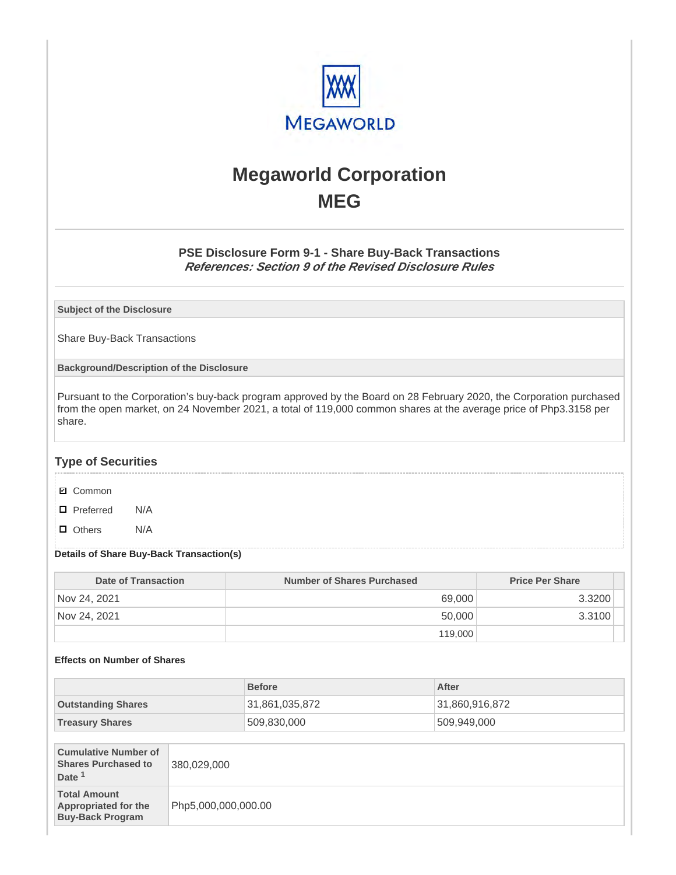

# **Megaworld Corporation MEG**

# **PSE Disclosure Form 9-1 - Share Buy-Back Transactions References: Section 9 of the Revised Disclosure Rules**

**Subject of the Disclosure**

Share Buy-Back Transactions

**Background/Description of the Disclosure**

Pursuant to the Corporation's buy-back program approved by the Board on 28 February 2020, the Corporation purchased from the open market, on 24 November 2021, a total of 119,000 common shares at the average price of Php3.3158 per share.

# **Type of Securities**

- **☑** Common
- □ Preferred N/A
- D Others N/A

### **Details of Share Buy-Back Transaction(s)**

| Date of Transaction | <b>Number of Shares Purchased</b> | <b>Price Per Share</b> |
|---------------------|-----------------------------------|------------------------|
| Nov 24, 2021        | 69,000                            | 3.3200                 |
| Nov 24, 2021        | 50,000                            | 3.3100                 |
|                     | 119,000                           |                        |

# **Effects on Number of Shares**

|                                                                                |                     | <b>Before</b>  |  | After          |
|--------------------------------------------------------------------------------|---------------------|----------------|--|----------------|
| <b>Outstanding Shares</b>                                                      |                     | 31,861,035,872 |  | 31,860,916,872 |
| <b>Treasury Shares</b>                                                         |                     | 509,830,000    |  | 509,949,000    |
|                                                                                |                     |                |  |                |
| <b>Cumulative Number of</b><br><b>Shares Purchased to</b><br>Date <sup>1</sup> | 380,029,000         |                |  |                |
| <b>Total Amount</b><br><b>Appropriated for the</b><br><b>Buy-Back Program</b>  | Php5,000,000,000.00 |                |  |                |